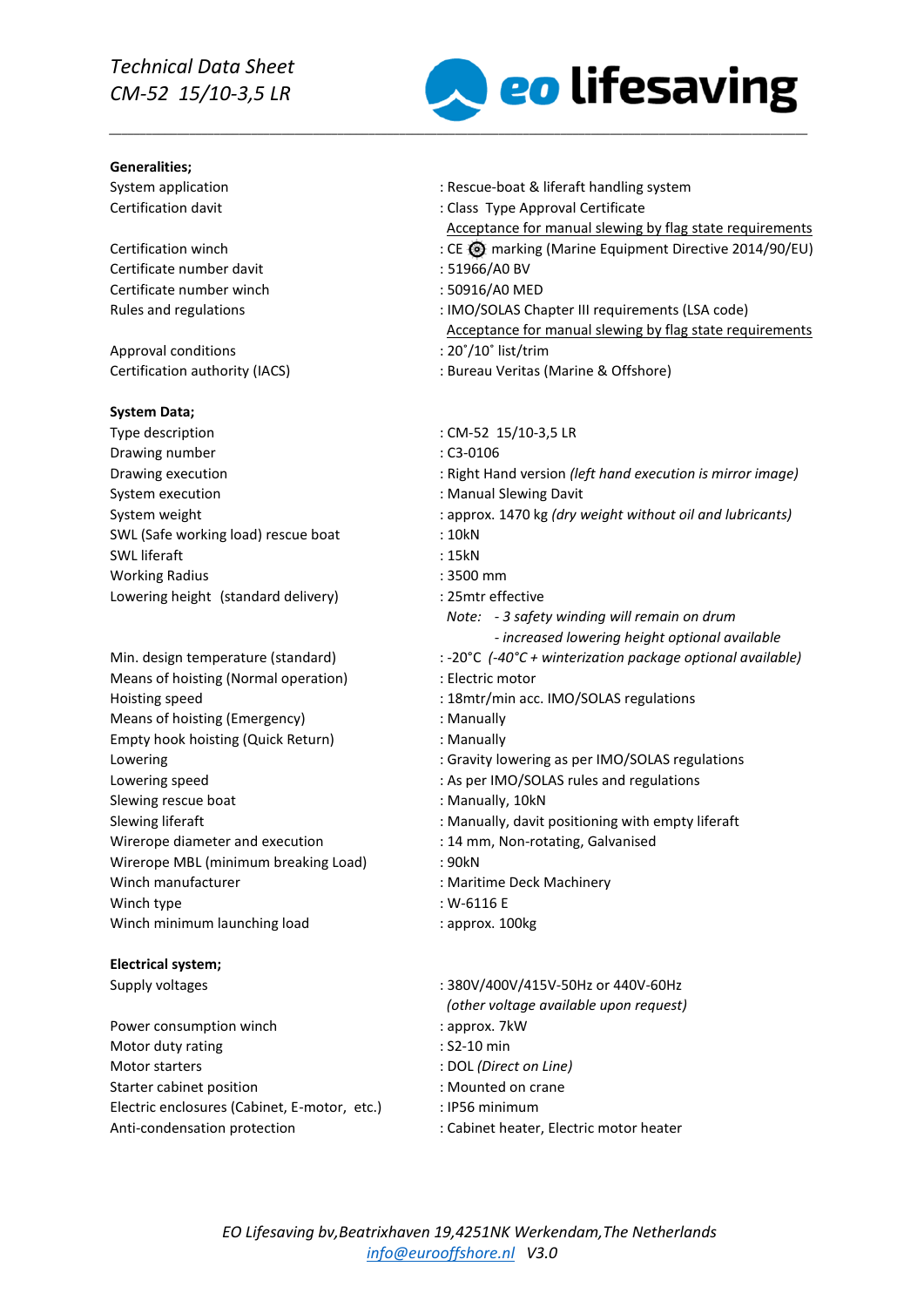# *Technical Data Sheet CM-52 15/10-3,5 LR*

#### **Generalities;**

#### **System Data;**

## **Electrical system;**

Power consumption winch Motor duty rating Motor starters : DOL *(Direct on Line)* Starter cabinet position **Starter** cabinet position Electric enclosures (Cabinet, E-motor, etc.) : IP56 minimum Anti-condensation protection  $\cdot$  : Cabinet heater, Electric motor heater



| <b>Generalities;</b>                 |                                                              |
|--------------------------------------|--------------------------------------------------------------|
| System application                   | : Rescue-boat & liferaft handling system                     |
| Certification davit                  | : Class Type Approval Certificate                            |
|                                      | Acceptance for manual slewing by flag state requirements     |
| Certification winch                  | : CE <a> marking (Marine Equipment Directive 2014/90/EU)</a> |
| Certificate number davit             | : 51966/A0 BV                                                |
| Certificate number winch             | : 50916/A0 MED                                               |
| Rules and regulations                | : IMO/SOLAS Chapter III requirements (LSA code)              |
|                                      | Acceptance for manual slewing by flag state requirements     |
| Approval conditions                  | : 20°/10° list/trim                                          |
| Certification authority (IACS)       | : Bureau Veritas (Marine & Offshore)                         |
| System Data;                         |                                                              |
| Type description                     | : CM-52 15/10-3,5 LR                                         |
| Drawing number                       | $: C3-0106$                                                  |
| Drawing execution                    | : Right Hand version (left hand execution is mirror image)   |
| System execution                     | : Manual Slewing Davit                                       |
| System weight                        | : approx. 1470 kg (dry weight without oil and lubricants)    |
| SWL (Safe working load) rescue boat  | : 10kN                                                       |
| <b>SWL</b> liferaft                  | : 15kN                                                       |
| <b>Working Radius</b>                | : 3500 mm                                                    |
| Lowering height (standard delivery)  | : 25mtr effective                                            |
|                                      | Note: - 3 safety winding will remain on drum                 |
|                                      | - increased lowering height optional available               |
| Min. design temperature (standard)   | : -20°C (-40°C + winterization package optional available)   |
| Means of hoisting (Normal operation) | : Electric motor                                             |
| Hoisting speed                       | : 18mtr/min acc. IMO/SOLAS regulations                       |
| Means of hoisting (Emergency)        | : Manually                                                   |
| Empty hook hoisting (Quick Return)   | : Manually                                                   |
| Lowering                             | : Gravity lowering as per IMO/SOLAS regulations              |
| Lowering speed                       | : As per IMO/SOLAS rules and regulations                     |
| Slewing rescue boat                  | : Manually, 10kN                                             |
| Slewing liferaft                     | : Manually, davit positioning with empty liferaft            |
| Wirerope diameter and execution      | : 14 mm, Non-rotating, Galvanised                            |
| Wirerope MBL (minimum breaking Load) | : 90kN                                                       |
| Winch manufacturer                   | : Maritime Deck Machinery                                    |
| Winch type                           | : $W-6116E$                                                  |
| Winch minimum launching load         | : approx. 100kg                                              |
| <b>Electrical system;</b>            |                                                              |
| Supply voltages                      | : 380V/400V/415V-50Hz or 440V-60Hz                           |
|                                      | (other voltage available upon request)                       |
| Power consumption winch              | : approx. 7kW                                                |
| Motor duty rating                    | : S2-10 min                                                  |
|                                      |                                                              |

- 
- 
- 
-